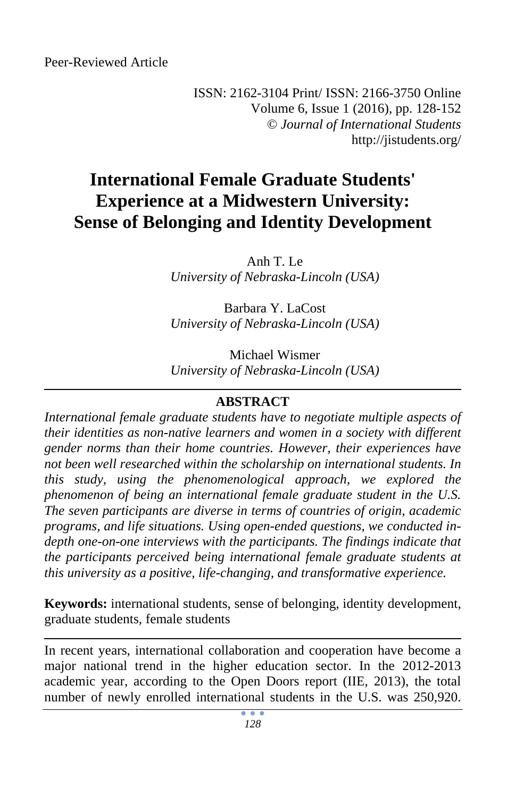ISSN: 2162-3104 Print/ ISSN: 2166-3750 Online Volume 6, Issue 1 (2016), pp. 128-152 © *Journal of International Students* http://jistudents.org/

# **International Female Graduate Students' Experience at a Midwestern University: Sense of Belonging and Identity Development**

Anh T. Le *University of Nebraska-Lincoln (USA)* 

Barbara Y. LaCost *University of Nebraska-Lincoln (USA)* 

Michael Wismer *University of Nebraska-Lincoln (USA)* 

# **ABSTRACT**

*International female graduate students have to negotiate multiple aspects of their identities as non-native learners and women in a society with different gender norms than their home countries. However, their experiences have not been well researched within the scholarship on international students. In this study, using the phenomenological approach, we explored the phenomenon of being an international female graduate student in the U.S. The seven participants are diverse in terms of countries of origin, academic programs, and life situations. Using open-ended questions, we conducted indepth one-on-one interviews with the participants. The findings indicate that the participants perceived being international female graduate students at this university as a positive, life-changing, and transformative experience.* 

**Keywords:** international students, sense of belonging, identity development, graduate students, female students

In recent years, international collaboration and cooperation have become a major national trend in the higher education sector. In the 2012-2013 academic year, according to the Open Doors report (IIE, 2013), the total number of newly enrolled international students in the U.S. was 250,920.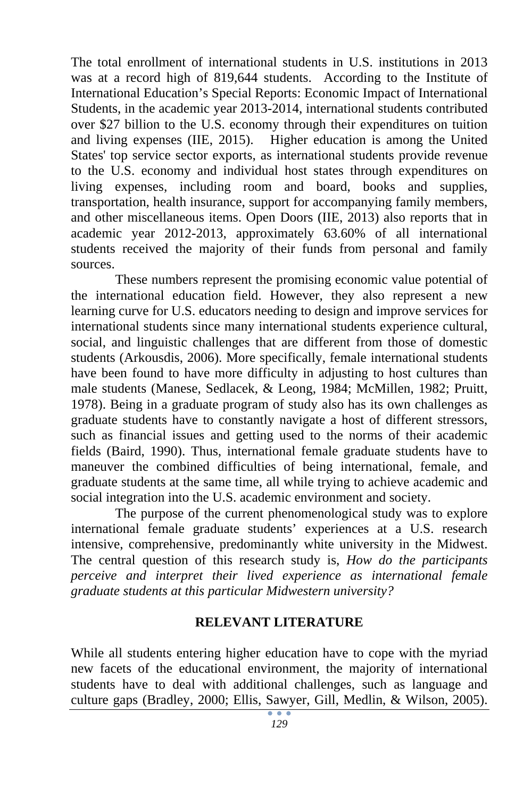The total enrollment of international students in U.S. institutions in 2013 was at a record high of 819,644 students. According to the Institute of International Education's Special Reports: Economic Impact of International Students, in the academic year 2013-2014, international students contributed over \$27 billion to the U.S. economy through their expenditures on tuition and living expenses (IIE, 2015). Higher education is among the United States' top service sector exports, as international students provide revenue to the U.S. economy and individual host states through expenditures on living expenses, including room and board, books and supplies, transportation, health insurance, support for accompanying family members, and other miscellaneous items. Open Doors (IIE, 2013) also reports that in academic year 2012-2013, approximately 63.60% of all international students received the majority of their funds from personal and family sources.

These numbers represent the promising economic value potential of the international education field. However, they also represent a new learning curve for U.S. educators needing to design and improve services for international students since many international students experience cultural, social, and linguistic challenges that are different from those of domestic students (Arkousdis, 2006). More specifically, female international students have been found to have more difficulty in adjusting to host cultures than male students (Manese, Sedlacek, & Leong, 1984; McMillen, 1982; Pruitt, 1978). Being in a graduate program of study also has its own challenges as graduate students have to constantly navigate a host of different stressors, such as financial issues and getting used to the norms of their academic fields (Baird, 1990). Thus, international female graduate students have to maneuver the combined difficulties of being international, female, and graduate students at the same time, all while trying to achieve academic and social integration into the U.S. academic environment and society.

The purpose of the current phenomenological study was to explore international female graduate students' experiences at a U.S. research intensive, comprehensive, predominantly white university in the Midwest. The central question of this research study is, *How do the participants perceive and interpret their lived experience as international female graduate students at this particular Midwestern university?*

#### **RELEVANT LITERATURE**

While all students entering higher education have to cope with the myriad new facets of the educational environment, the majority of international students have to deal with additional challenges, such as language and culture gaps (Bradley, 2000; Ellis, Sawyer, Gill, Medlin, & Wilson, 2005).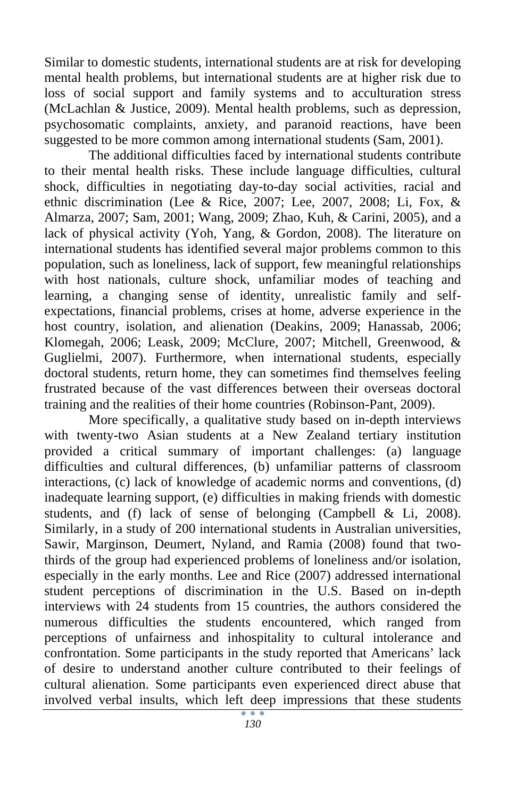Similar to domestic students, international students are at risk for developing mental health problems, but international students are at higher risk due to loss of social support and family systems and to acculturation stress (McLachlan & Justice, 2009). Mental health problems, such as depression, psychosomatic complaints, anxiety, and paranoid reactions, have been suggested to be more common among international students (Sam, 2001).

The additional difficulties faced by international students contribute to their mental health risks. These include language difficulties, cultural shock, difficulties in negotiating day-to-day social activities, racial and ethnic discrimination (Lee & Rice, 2007; Lee, 2007, 2008; Li, Fox, & Almarza, 2007; Sam, 2001; Wang, 2009; Zhao, Kuh, & Carini, 2005), and a lack of physical activity (Yoh, Yang, & Gordon, 2008). The literature on international students has identified several major problems common to this population, such as loneliness, lack of support, few meaningful relationships with host nationals, culture shock, unfamiliar modes of teaching and learning, a changing sense of identity, unrealistic family and selfexpectations, financial problems, crises at home, adverse experience in the host country, isolation, and alienation (Deakins, 2009; Hanassab, 2006; Klomegah, 2006; Leask, 2009; McClure, 2007; Mitchell, Greenwood, & Guglielmi, 2007). Furthermore, when international students, especially doctoral students, return home, they can sometimes find themselves feeling frustrated because of the vast differences between their overseas doctoral training and the realities of their home countries (Robinson-Pant, 2009).

More specifically, a qualitative study based on in-depth interviews with twenty-two Asian students at a New Zealand tertiary institution provided a critical summary of important challenges: (a) language difficulties and cultural differences, (b) unfamiliar patterns of classroom interactions, (c) lack of knowledge of academic norms and conventions, (d) inadequate learning support, (e) difficulties in making friends with domestic students, and (f) lack of sense of belonging (Campbell & Li, 2008). Similarly, in a study of 200 international students in Australian universities, Sawir, Marginson, Deumert, Nyland, and Ramia (2008) found that twothirds of the group had experienced problems of loneliness and/or isolation, especially in the early months. Lee and Rice (2007) addressed international student perceptions of discrimination in the U.S. Based on in-depth interviews with 24 students from 15 countries, the authors considered the numerous difficulties the students encountered, which ranged from perceptions of unfairness and inhospitality to cultural intolerance and confrontation. Some participants in the study reported that Americans' lack of desire to understand another culture contributed to their feelings of cultural alienation. Some participants even experienced direct abuse that involved verbal insults, which left deep impressions that these students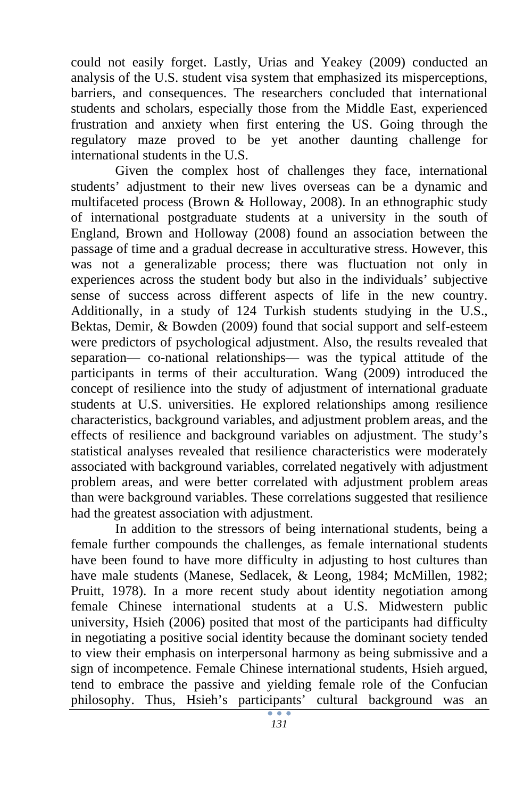could not easily forget. Lastly, Urias and Yeakey (2009) conducted an analysis of the U.S. student visa system that emphasized its misperceptions, barriers, and consequences. The researchers concluded that international students and scholars, especially those from the Middle East, experienced frustration and anxiety when first entering the US. Going through the regulatory maze proved to be yet another daunting challenge for international students in the U.S.

Given the complex host of challenges they face, international students' adjustment to their new lives overseas can be a dynamic and multifaceted process (Brown & Holloway, 2008). In an ethnographic study of international postgraduate students at a university in the south of England, Brown and Holloway (2008) found an association between the passage of time and a gradual decrease in acculturative stress. However, this was not a generalizable process; there was fluctuation not only in experiences across the student body but also in the individuals' subjective sense of success across different aspects of life in the new country. Additionally, in a study of 124 Turkish students studying in the U.S., Bektas, Demir, & Bowden (2009) found that social support and self-esteem were predictors of psychological adjustment. Also, the results revealed that separation— co-national relationships— was the typical attitude of the participants in terms of their acculturation. Wang (2009) introduced the concept of resilience into the study of adjustment of international graduate students at U.S. universities. He explored relationships among resilience characteristics, background variables, and adjustment problem areas, and the effects of resilience and background variables on adjustment. The study's statistical analyses revealed that resilience characteristics were moderately associated with background variables, correlated negatively with adjustment problem areas, and were better correlated with adjustment problem areas than were background variables. These correlations suggested that resilience had the greatest association with adjustment.

In addition to the stressors of being international students, being a female further compounds the challenges, as female international students have been found to have more difficulty in adjusting to host cultures than have male students (Manese, Sedlacek, & Leong, 1984; McMillen, 1982; Pruitt, 1978). In a more recent study about identity negotiation among female Chinese international students at a U.S. Midwestern public university, Hsieh (2006) posited that most of the participants had difficulty in negotiating a positive social identity because the dominant society tended to view their emphasis on interpersonal harmony as being submissive and a sign of incompetence. Female Chinese international students, Hsieh argued, tend to embrace the passive and yielding female role of the Confucian philosophy. Thus, Hsieh's participants' cultural background was an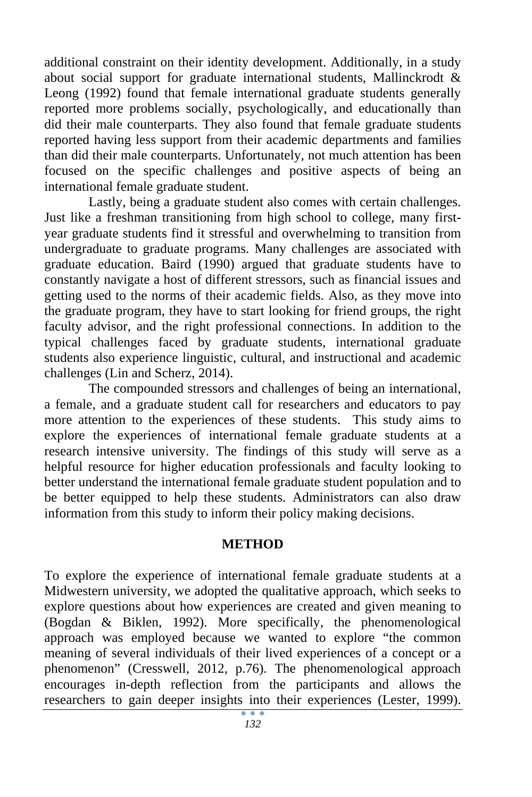additional constraint on their identity development. Additionally, in a study about social support for graduate international students, Mallinckrodt & Leong (1992) found that female international graduate students generally reported more problems socially, psychologically, and educationally than did their male counterparts. They also found that female graduate students reported having less support from their academic departments and families than did their male counterparts. Unfortunately, not much attention has been focused on the specific challenges and positive aspects of being an international female graduate student.

Lastly, being a graduate student also comes with certain challenges. Just like a freshman transitioning from high school to college, many firstyear graduate students find it stressful and overwhelming to transition from undergraduate to graduate programs. Many challenges are associated with graduate education. Baird (1990) argued that graduate students have to constantly navigate a host of different stressors, such as financial issues and getting used to the norms of their academic fields. Also, as they move into the graduate program, they have to start looking for friend groups, the right faculty advisor, and the right professional connections. In addition to the typical challenges faced by graduate students, international graduate students also experience linguistic, cultural, and instructional and academic challenges (Lin and Scherz, 2014).

The compounded stressors and challenges of being an international, a female, and a graduate student call for researchers and educators to pay more attention to the experiences of these students. This study aims to explore the experiences of international female graduate students at a research intensive university. The findings of this study will serve as a helpful resource for higher education professionals and faculty looking to better understand the international female graduate student population and to be better equipped to help these students. Administrators can also draw information from this study to inform their policy making decisions.

#### **METHOD**

To explore the experience of international female graduate students at a Midwestern university, we adopted the qualitative approach, which seeks to explore questions about how experiences are created and given meaning to (Bogdan & Biklen, 1992). More specifically, the phenomenological approach was employed because we wanted to explore "the common meaning of several individuals of their lived experiences of a concept or a phenomenon" (Cresswell, 2012, p.76). The phenomenological approach encourages in-depth reflection from the participants and allows the researchers to gain deeper insights into their experiences (Lester, 1999).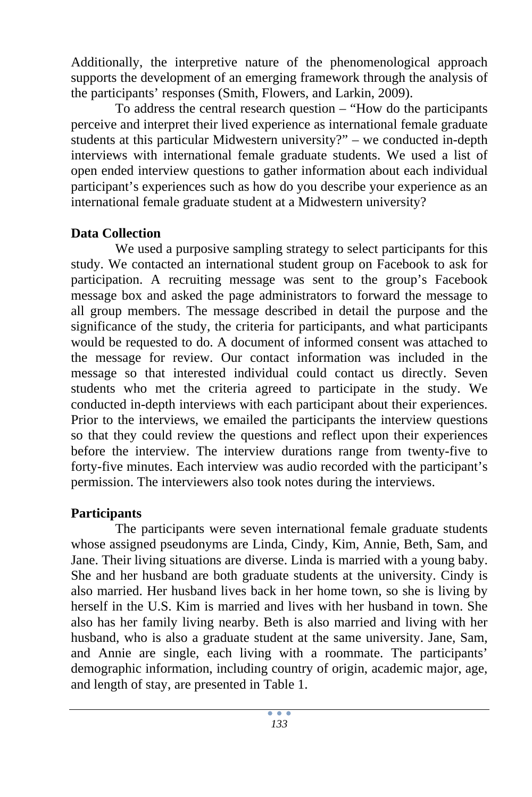Additionally, the interpretive nature of the phenomenological approach supports the development of an emerging framework through the analysis of the participants' responses (Smith, Flowers, and Larkin, 2009).

To address the central research question – "How do the participants perceive and interpret their lived experience as international female graduate students at this particular Midwestern university?" – we conducted in-depth interviews with international female graduate students. We used a list of open ended interview questions to gather information about each individual participant's experiences such as how do you describe your experience as an international female graduate student at a Midwestern university?

### **Data Collection**

We used a purposive sampling strategy to select participants for this study. We contacted an international student group on Facebook to ask for participation. A recruiting message was sent to the group's Facebook message box and asked the page administrators to forward the message to all group members. The message described in detail the purpose and the significance of the study, the criteria for participants, and what participants would be requested to do. A document of informed consent was attached to the message for review. Our contact information was included in the message so that interested individual could contact us directly. Seven students who met the criteria agreed to participate in the study. We conducted in-depth interviews with each participant about their experiences. Prior to the interviews, we emailed the participants the interview questions so that they could review the questions and reflect upon their experiences before the interview. The interview durations range from twenty-five to forty-five minutes. Each interview was audio recorded with the participant's permission. The interviewers also took notes during the interviews.

# **Participants**

The participants were seven international female graduate students whose assigned pseudonyms are Linda, Cindy, Kim, Annie, Beth, Sam, and Jane. Their living situations are diverse. Linda is married with a young baby. She and her husband are both graduate students at the university. Cindy is also married. Her husband lives back in her home town, so she is living by herself in the U.S. Kim is married and lives with her husband in town. She also has her family living nearby. Beth is also married and living with her husband, who is also a graduate student at the same university. Jane, Sam, and Annie are single, each living with a roommate. The participants' demographic information, including country of origin, academic major, age, and length of stay, are presented in Table 1.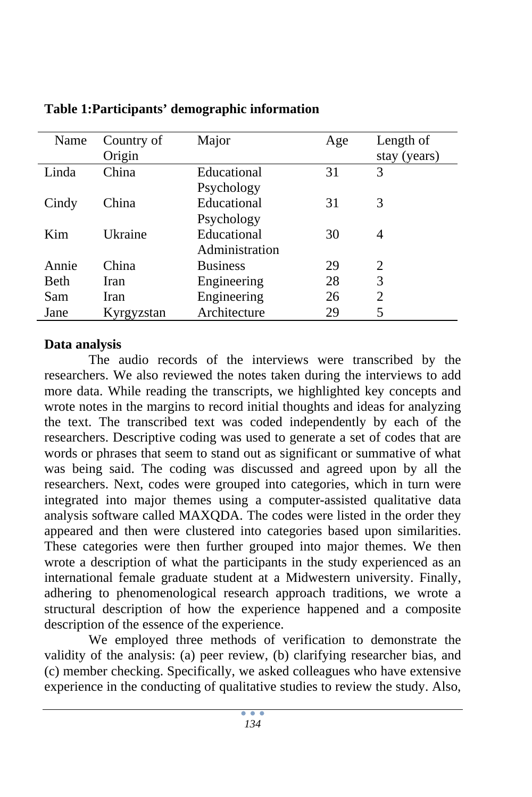| Name  | Country of | Major           | Age | Length of                   |
|-------|------------|-----------------|-----|-----------------------------|
|       | Origin     |                 |     | stay (years)                |
| Linda | China      | Educational     | 31  | 3                           |
|       |            | Psychology      |     |                             |
| Cindy | China      | Educational     | 31  | 3                           |
|       |            | Psychology      |     |                             |
| Kim   | Ukraine    | Educational     | 30  | 4                           |
|       |            | Administration  |     |                             |
| Annie | China      | <b>Business</b> | 29  | $\mathcal{D}_{\mathcal{L}}$ |
| Beth  | Iran       | Engineering     | 28  | 3                           |
| Sam   | Iran       | Engineering     | 26  | $\overline{c}$              |
| Jane  | Kyrgyzstan | Architecture    | 29  | 5                           |

# **Table 1:Participants' demographic information**

### **Data analysis**

The audio records of the interviews were transcribed by the researchers. We also reviewed the notes taken during the interviews to add more data. While reading the transcripts, we highlighted key concepts and wrote notes in the margins to record initial thoughts and ideas for analyzing the text. The transcribed text was coded independently by each of the researchers. Descriptive coding was used to generate a set of codes that are words or phrases that seem to stand out as significant or summative of what was being said. The coding was discussed and agreed upon by all the researchers. Next, codes were grouped into categories, which in turn were integrated into major themes using a computer-assisted qualitative data analysis software called MAXQDA. The codes were listed in the order they appeared and then were clustered into categories based upon similarities. These categories were then further grouped into major themes. We then wrote a description of what the participants in the study experienced as an international female graduate student at a Midwestern university. Finally, adhering to phenomenological research approach traditions, we wrote a structural description of how the experience happened and a composite description of the essence of the experience.

We employed three methods of verification to demonstrate the validity of the analysis: (a) peer review, (b) clarifying researcher bias, and (c) member checking. Specifically, we asked colleagues who have extensive experience in the conducting of qualitative studies to review the study. Also,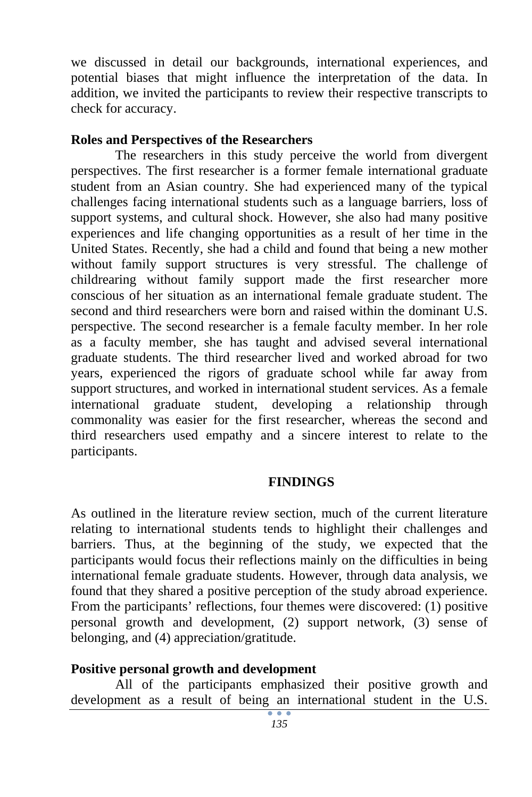we discussed in detail our backgrounds, international experiences, and potential biases that might influence the interpretation of the data. In addition, we invited the participants to review their respective transcripts to check for accuracy.

#### **Roles and Perspectives of the Researchers**

The researchers in this study perceive the world from divergent perspectives. The first researcher is a former female international graduate student from an Asian country. She had experienced many of the typical challenges facing international students such as a language barriers, loss of support systems, and cultural shock. However, she also had many positive experiences and life changing opportunities as a result of her time in the United States. Recently, she had a child and found that being a new mother without family support structures is very stressful. The challenge of childrearing without family support made the first researcher more conscious of her situation as an international female graduate student. The second and third researchers were born and raised within the dominant U.S. perspective. The second researcher is a female faculty member. In her role as a faculty member, she has taught and advised several international graduate students. The third researcher lived and worked abroad for two years, experienced the rigors of graduate school while far away from support structures, and worked in international student services. As a female international graduate student, developing a relationship through commonality was easier for the first researcher, whereas the second and third researchers used empathy and a sincere interest to relate to the participants.

#### **FINDINGS**

As outlined in the literature review section, much of the current literature relating to international students tends to highlight their challenges and barriers. Thus, at the beginning of the study, we expected that the participants would focus their reflections mainly on the difficulties in being international female graduate students. However, through data analysis, we found that they shared a positive perception of the study abroad experience. From the participants' reflections, four themes were discovered: (1) positive personal growth and development, (2) support network, (3) sense of belonging, and (4) appreciation/gratitude.

#### **Positive personal growth and development**

All of the participants emphasized their positive growth and development as a result of being an international student in the U.S.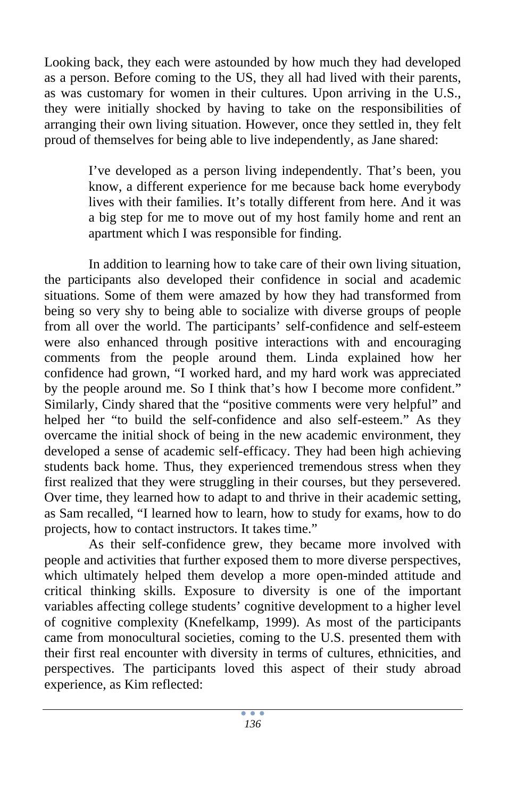Looking back, they each were astounded by how much they had developed as a person. Before coming to the US, they all had lived with their parents, as was customary for women in their cultures. Upon arriving in the U.S., they were initially shocked by having to take on the responsibilities of arranging their own living situation. However, once they settled in, they felt proud of themselves for being able to live independently, as Jane shared:

> I've developed as a person living independently. That's been, you know, a different experience for me because back home everybody lives with their families. It's totally different from here. And it was a big step for me to move out of my host family home and rent an apartment which I was responsible for finding.

In addition to learning how to take care of their own living situation, the participants also developed their confidence in social and academic situations. Some of them were amazed by how they had transformed from being so very shy to being able to socialize with diverse groups of people from all over the world. The participants' self-confidence and self-esteem were also enhanced through positive interactions with and encouraging comments from the people around them. Linda explained how her confidence had grown, "I worked hard, and my hard work was appreciated by the people around me. So I think that's how I become more confident." Similarly, Cindy shared that the "positive comments were very helpful" and helped her "to build the self-confidence and also self-esteem." As they overcame the initial shock of being in the new academic environment, they developed a sense of academic self-efficacy. They had been high achieving students back home. Thus, they experienced tremendous stress when they first realized that they were struggling in their courses, but they persevered. Over time, they learned how to adapt to and thrive in their academic setting, as Sam recalled, "I learned how to learn, how to study for exams, how to do projects, how to contact instructors. It takes time."

 As their self-confidence grew, they became more involved with people and activities that further exposed them to more diverse perspectives, which ultimately helped them develop a more open-minded attitude and critical thinking skills. Exposure to diversity is one of the important variables affecting college students' cognitive development to a higher level of cognitive complexity (Knefelkamp, 1999). As most of the participants came from monocultural societies, coming to the U.S. presented them with their first real encounter with diversity in terms of cultures, ethnicities, and perspectives. The participants loved this aspect of their study abroad experience, as Kim reflected: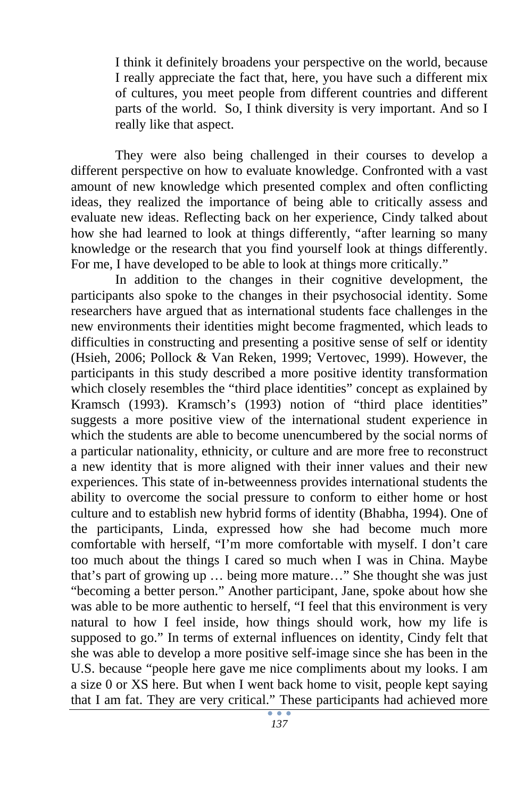I think it definitely broadens your perspective on the world, because I really appreciate the fact that, here, you have such a different mix of cultures, you meet people from different countries and different parts of the world. So, I think diversity is very important. And so I really like that aspect.

They were also being challenged in their courses to develop a different perspective on how to evaluate knowledge. Confronted with a vast amount of new knowledge which presented complex and often conflicting ideas, they realized the importance of being able to critically assess and evaluate new ideas. Reflecting back on her experience, Cindy talked about how she had learned to look at things differently, "after learning so many knowledge or the research that you find yourself look at things differently. For me, I have developed to be able to look at things more critically."

In addition to the changes in their cognitive development, the participants also spoke to the changes in their psychosocial identity. Some researchers have argued that as international students face challenges in the new environments their identities might become fragmented, which leads to difficulties in constructing and presenting a positive sense of self or identity (Hsieh, 2006; Pollock & Van Reken, 1999; Vertovec, 1999). However, the participants in this study described a more positive identity transformation which closely resembles the "third place identities" concept as explained by Kramsch (1993). Kramsch's (1993) notion of "third place identities" suggests a more positive view of the international student experience in which the students are able to become unencumbered by the social norms of a particular nationality, ethnicity, or culture and are more free to reconstruct a new identity that is more aligned with their inner values and their new experiences. This state of in-betweenness provides international students the ability to overcome the social pressure to conform to either home or host culture and to establish new hybrid forms of identity (Bhabha, 1994). One of the participants, Linda, expressed how she had become much more comfortable with herself, "I'm more comfortable with myself. I don't care too much about the things I cared so much when I was in China. Maybe that's part of growing up … being more mature…" She thought she was just "becoming a better person." Another participant, Jane, spoke about how she was able to be more authentic to herself, "I feel that this environment is very natural to how I feel inside, how things should work, how my life is supposed to go." In terms of external influences on identity, Cindy felt that she was able to develop a more positive self-image since she has been in the U.S. because "people here gave me nice compliments about my looks. I am a size 0 or XS here. But when I went back home to visit, people kept saying that I am fat. They are very critical." These participants had achieved more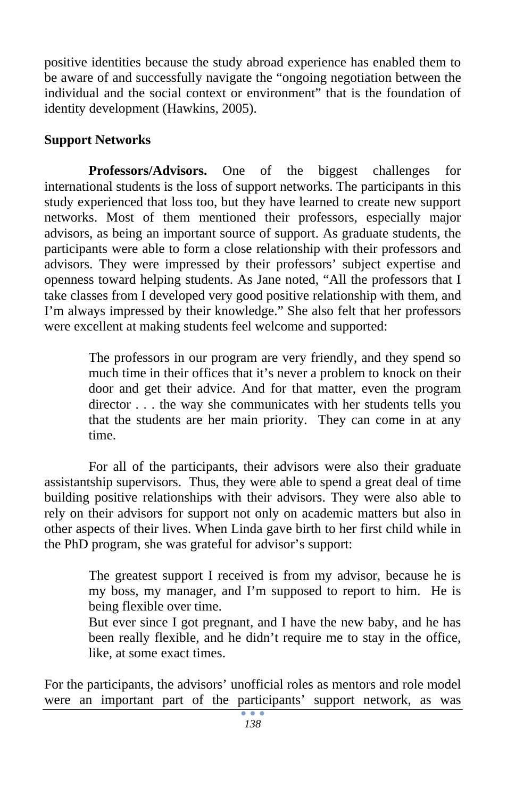positive identities because the study abroad experience has enabled them to be aware of and successfully navigate the "ongoing negotiation between the individual and the social context or environment" that is the foundation of identity development (Hawkins, 2005).

# **Support Networks**

**Professors/Advisors.** One of the biggest challenges for international students is the loss of support networks. The participants in this study experienced that loss too, but they have learned to create new support networks. Most of them mentioned their professors, especially major advisors, as being an important source of support. As graduate students, the participants were able to form a close relationship with their professors and advisors. They were impressed by their professors' subject expertise and openness toward helping students. As Jane noted, "All the professors that I take classes from I developed very good positive relationship with them, and I'm always impressed by their knowledge." She also felt that her professors were excellent at making students feel welcome and supported:

> The professors in our program are very friendly, and they spend so much time in their offices that it's never a problem to knock on their door and get their advice. And for that matter, even the program director . . . the way she communicates with her students tells you that the students are her main priority. They can come in at any time.

For all of the participants, their advisors were also their graduate assistantship supervisors. Thus, they were able to spend a great deal of time building positive relationships with their advisors. They were also able to rely on their advisors for support not only on academic matters but also in other aspects of their lives. When Linda gave birth to her first child while in the PhD program, she was grateful for advisor's support:

> The greatest support I received is from my advisor, because he is my boss, my manager, and I'm supposed to report to him. He is being flexible over time.

> But ever since I got pregnant, and I have the new baby, and he has been really flexible, and he didn't require me to stay in the office, like, at some exact times.

For the participants, the advisors' unofficial roles as mentors and role model were an important part of the participants' support network, as was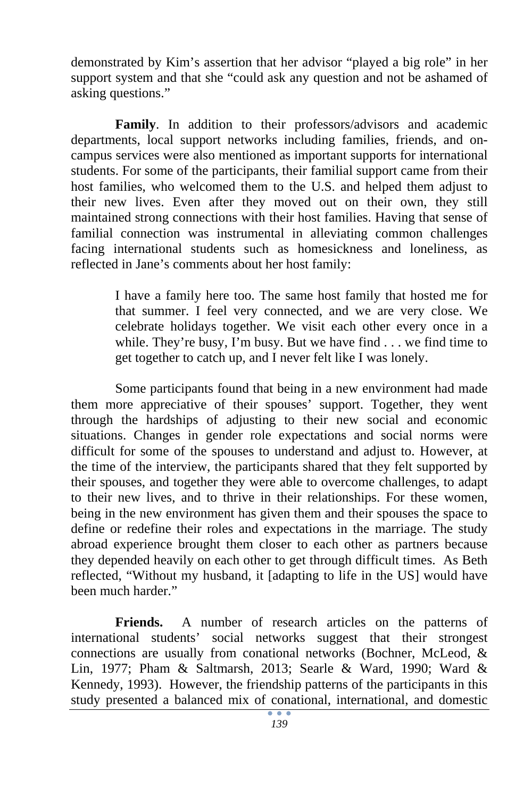demonstrated by Kim's assertion that her advisor "played a big role" in her support system and that she "could ask any question and not be ashamed of asking questions."

**Family**. In addition to their professors/advisors and academic departments, local support networks including families, friends, and oncampus services were also mentioned as important supports for international students. For some of the participants, their familial support came from their host families, who welcomed them to the U.S. and helped them adjust to their new lives. Even after they moved out on their own, they still maintained strong connections with their host families. Having that sense of familial connection was instrumental in alleviating common challenges facing international students such as homesickness and loneliness, as reflected in Jane's comments about her host family:

> I have a family here too. The same host family that hosted me for that summer. I feel very connected, and we are very close. We celebrate holidays together. We visit each other every once in a while. They're busy, I'm busy. But we have find  $\ldots$  we find time to get together to catch up, and I never felt like I was lonely.

Some participants found that being in a new environment had made them more appreciative of their spouses' support. Together, they went through the hardships of adjusting to their new social and economic situations. Changes in gender role expectations and social norms were difficult for some of the spouses to understand and adjust to. However, at the time of the interview, the participants shared that they felt supported by their spouses, and together they were able to overcome challenges, to adapt to their new lives, and to thrive in their relationships. For these women, being in the new environment has given them and their spouses the space to define or redefine their roles and expectations in the marriage. The study abroad experience brought them closer to each other as partners because they depended heavily on each other to get through difficult times. As Beth reflected, "Without my husband, it [adapting to life in the US] would have been much harder."

**Friends.** A number of research articles on the patterns of international students' social networks suggest that their strongest connections are usually from conational networks (Bochner, McLeod, & Lin, 1977; Pham & Saltmarsh, 2013; Searle & Ward, 1990; Ward & Kennedy, 1993). However, the friendship patterns of the participants in this study presented a balanced mix of conational, international, and domestic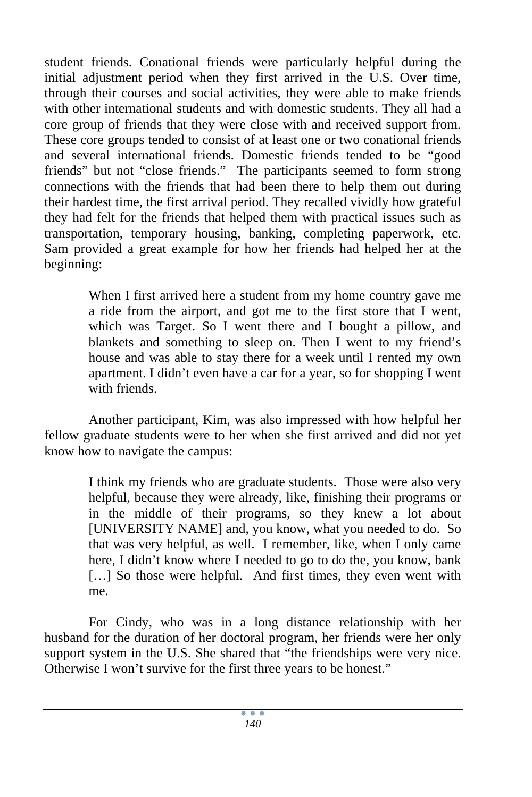student friends. Conational friends were particularly helpful during the initial adjustment period when they first arrived in the U.S. Over time, through their courses and social activities, they were able to make friends with other international students and with domestic students. They all had a core group of friends that they were close with and received support from. These core groups tended to consist of at least one or two conational friends and several international friends. Domestic friends tended to be "good friends" but not "close friends." The participants seemed to form strong connections with the friends that had been there to help them out during their hardest time, the first arrival period. They recalled vividly how grateful they had felt for the friends that helped them with practical issues such as transportation, temporary housing, banking, completing paperwork, etc. Sam provided a great example for how her friends had helped her at the beginning:

> When I first arrived here a student from my home country gave me a ride from the airport, and got me to the first store that I went, which was Target. So I went there and I bought a pillow, and blankets and something to sleep on. Then I went to my friend's house and was able to stay there for a week until I rented my own apartment. I didn't even have a car for a year, so for shopping I went with friends.

Another participant, Kim, was also impressed with how helpful her fellow graduate students were to her when she first arrived and did not yet know how to navigate the campus:

> I think my friends who are graduate students. Those were also very helpful, because they were already, like, finishing their programs or in the middle of their programs, so they knew a lot about [UNIVERSITY NAME] and, you know, what you needed to do. So that was very helpful, as well. I remember, like, when I only came here, I didn't know where I needed to go to do the, you know, bank [...] So those were helpful. And first times, they even went with me.

For Cindy, who was in a long distance relationship with her husband for the duration of her doctoral program, her friends were her only support system in the U.S. She shared that "the friendships were very nice. Otherwise I won't survive for the first three years to be honest."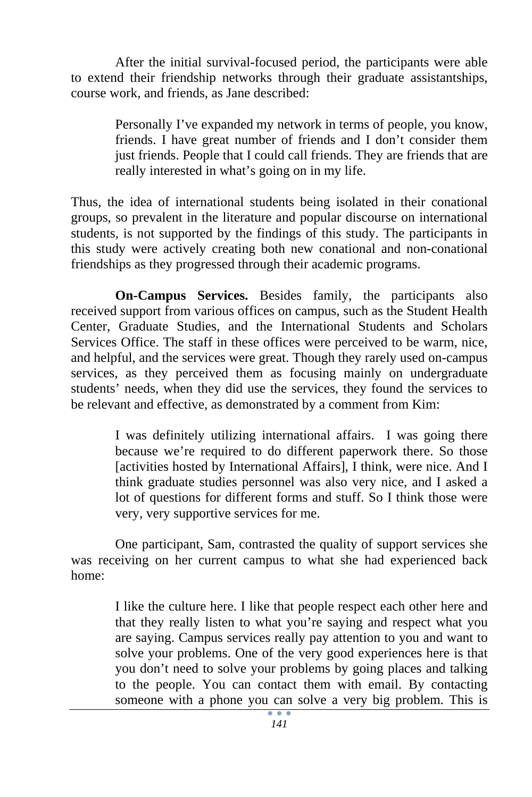After the initial survival-focused period, the participants were able to extend their friendship networks through their graduate assistantships, course work, and friends, as Jane described:

> Personally I've expanded my network in terms of people, you know, friends. I have great number of friends and I don't consider them just friends. People that I could call friends. They are friends that are really interested in what's going on in my life.

Thus, the idea of international students being isolated in their conational groups, so prevalent in the literature and popular discourse on international students, is not supported by the findings of this study. The participants in this study were actively creating both new conational and non-conational friendships as they progressed through their academic programs.

**On-Campus Services.** Besides family, the participants also received support from various offices on campus, such as the Student Health Center, Graduate Studies, and the International Students and Scholars Services Office. The staff in these offices were perceived to be warm, nice, and helpful, and the services were great. Though they rarely used on-campus services, as they perceived them as focusing mainly on undergraduate students' needs, when they did use the services, they found the services to be relevant and effective, as demonstrated by a comment from Kim:

> I was definitely utilizing international affairs. I was going there because we're required to do different paperwork there. So those [activities hosted by International Affairs], I think, were nice. And I think graduate studies personnel was also very nice, and I asked a lot of questions for different forms and stuff. So I think those were very, very supportive services for me.

One participant, Sam, contrasted the quality of support services she was receiving on her current campus to what she had experienced back home:

> I like the culture here. I like that people respect each other here and that they really listen to what you're saying and respect what you are saying. Campus services really pay attention to you and want to solve your problems. One of the very good experiences here is that you don't need to solve your problems by going places and talking to the people. You can contact them with email. By contacting someone with a phone you can solve a very big problem. This is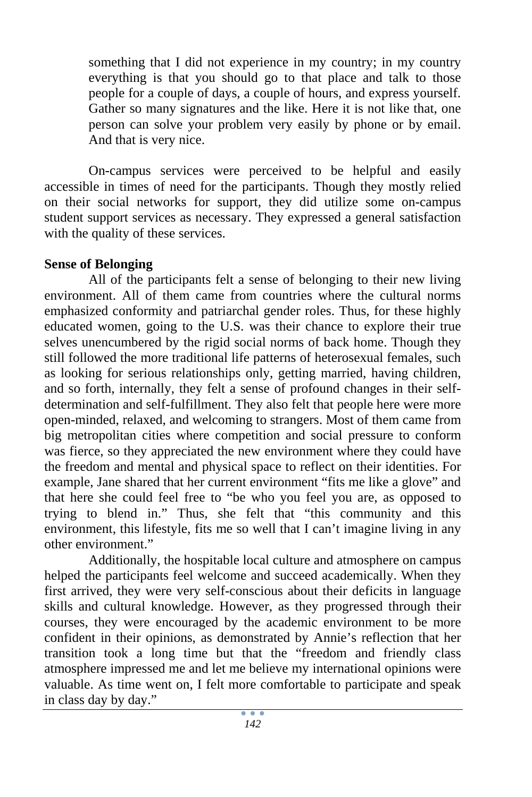something that I did not experience in my country; in my country everything is that you should go to that place and talk to those people for a couple of days, a couple of hours, and express yourself. Gather so many signatures and the like. Here it is not like that, one person can solve your problem very easily by phone or by email. And that is very nice.

On-campus services were perceived to be helpful and easily accessible in times of need for the participants. Though they mostly relied on their social networks for support, they did utilize some on-campus student support services as necessary. They expressed a general satisfaction with the quality of these services.

# **Sense of Belonging**

All of the participants felt a sense of belonging to their new living environment. All of them came from countries where the cultural norms emphasized conformity and patriarchal gender roles. Thus, for these highly educated women, going to the U.S. was their chance to explore their true selves unencumbered by the rigid social norms of back home. Though they still followed the more traditional life patterns of heterosexual females, such as looking for serious relationships only, getting married, having children, and so forth, internally, they felt a sense of profound changes in their selfdetermination and self-fulfillment. They also felt that people here were more open-minded, relaxed, and welcoming to strangers. Most of them came from big metropolitan cities where competition and social pressure to conform was fierce, so they appreciated the new environment where they could have the freedom and mental and physical space to reflect on their identities. For example, Jane shared that her current environment "fits me like a glove" and that here she could feel free to "be who you feel you are, as opposed to trying to blend in." Thus, she felt that "this community and this environment, this lifestyle, fits me so well that I can't imagine living in any other environment."

Additionally, the hospitable local culture and atmosphere on campus helped the participants feel welcome and succeed academically. When they first arrived, they were very self-conscious about their deficits in language skills and cultural knowledge. However, as they progressed through their courses, they were encouraged by the academic environment to be more confident in their opinions, as demonstrated by Annie's reflection that her transition took a long time but that the "freedom and friendly class atmosphere impressed me and let me believe my international opinions were valuable. As time went on, I felt more comfortable to participate and speak in class day by day."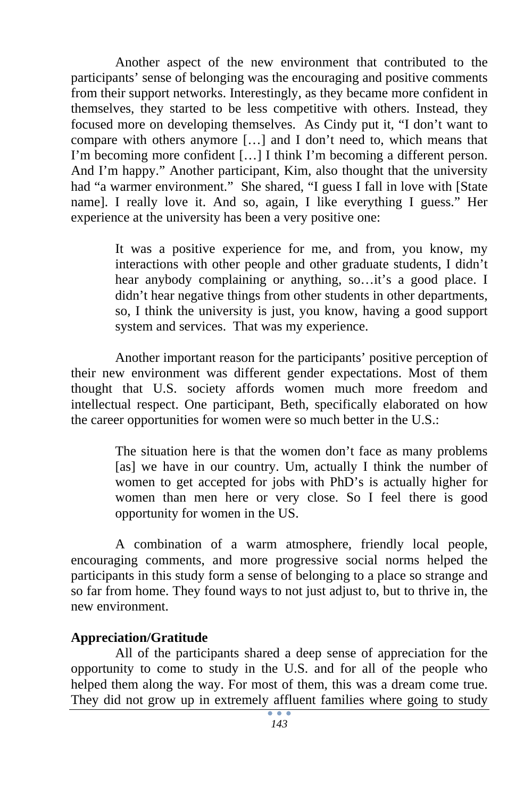Another aspect of the new environment that contributed to the participants' sense of belonging was the encouraging and positive comments from their support networks. Interestingly, as they became more confident in themselves, they started to be less competitive with others. Instead, they focused more on developing themselves. As Cindy put it, "I don't want to compare with others anymore […] and I don't need to, which means that I'm becoming more confident […] I think I'm becoming a different person. And I'm happy." Another participant, Kim, also thought that the university had "a warmer environment." She shared, "I guess I fall in love with [State] name]. I really love it. And so, again, I like everything I guess." Her experience at the university has been a very positive one:

> It was a positive experience for me, and from, you know, my interactions with other people and other graduate students, I didn't hear anybody complaining or anything, so...it's a good place. I didn't hear negative things from other students in other departments, so, I think the university is just, you know, having a good support system and services. That was my experience.

 Another important reason for the participants' positive perception of their new environment was different gender expectations. Most of them thought that U.S. society affords women much more freedom and intellectual respect. One participant, Beth, specifically elaborated on how the career opportunities for women were so much better in the U.S.:

> The situation here is that the women don't face as many problems [as] we have in our country. Um, actually I think the number of women to get accepted for jobs with PhD's is actually higher for women than men here or very close. So I feel there is good opportunity for women in the US.

A combination of a warm atmosphere, friendly local people, encouraging comments, and more progressive social norms helped the participants in this study form a sense of belonging to a place so strange and so far from home. They found ways to not just adjust to, but to thrive in, the new environment.

### **Appreciation/Gratitude**

All of the participants shared a deep sense of appreciation for the opportunity to come to study in the U.S. and for all of the people who helped them along the way. For most of them, this was a dream come true. They did not grow up in extremely affluent families where going to study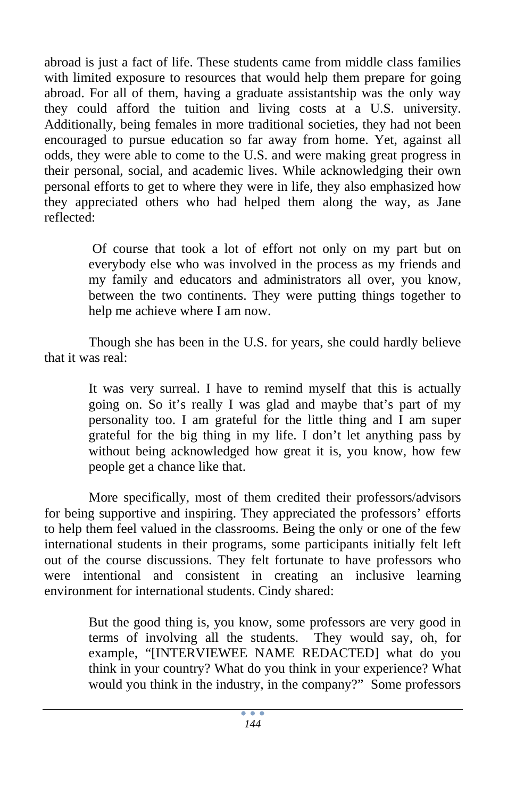abroad is just a fact of life. These students came from middle class families with limited exposure to resources that would help them prepare for going abroad. For all of them, having a graduate assistantship was the only way they could afford the tuition and living costs at a U.S. university. Additionally, being females in more traditional societies, they had not been encouraged to pursue education so far away from home. Yet, against all odds, they were able to come to the U.S. and were making great progress in their personal, social, and academic lives. While acknowledging their own personal efforts to get to where they were in life, they also emphasized how they appreciated others who had helped them along the way, as Jane reflected:

> Of course that took a lot of effort not only on my part but on everybody else who was involved in the process as my friends and my family and educators and administrators all over, you know, between the two continents. They were putting things together to help me achieve where I am now.

Though she has been in the U.S. for years, she could hardly believe that it was real:

> It was very surreal. I have to remind myself that this is actually going on. So it's really I was glad and maybe that's part of my personality too. I am grateful for the little thing and I am super grateful for the big thing in my life. I don't let anything pass by without being acknowledged how great it is, you know, how few people get a chance like that.

More specifically, most of them credited their professors/advisors for being supportive and inspiring. They appreciated the professors' efforts to help them feel valued in the classrooms. Being the only or one of the few international students in their programs, some participants initially felt left out of the course discussions. They felt fortunate to have professors who were intentional and consistent in creating an inclusive learning environment for international students. Cindy shared:

> But the good thing is, you know, some professors are very good in terms of involving all the students. They would say, oh, for example, "[INTERVIEWEE NAME REDACTED] what do you think in your country? What do you think in your experience? What would you think in the industry, in the company?" Some professors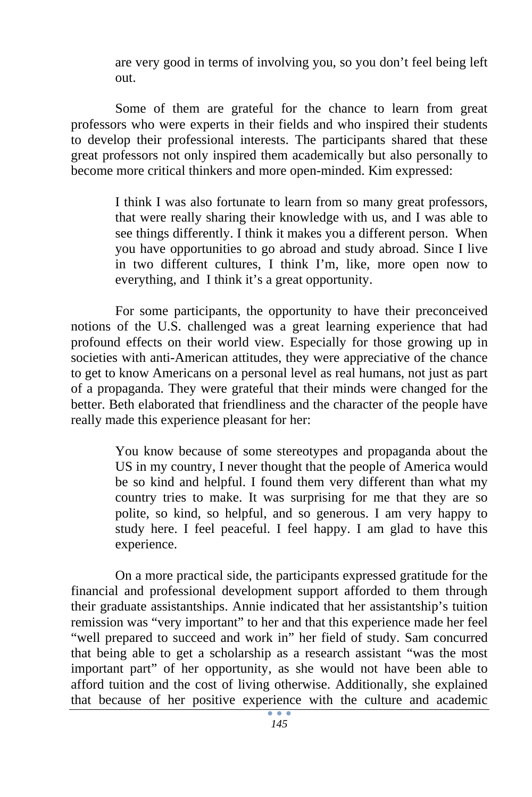are very good in terms of involving you, so you don't feel being left out.

Some of them are grateful for the chance to learn from great professors who were experts in their fields and who inspired their students to develop their professional interests. The participants shared that these great professors not only inspired them academically but also personally to become more critical thinkers and more open-minded. Kim expressed:

> I think I was also fortunate to learn from so many great professors, that were really sharing their knowledge with us, and I was able to see things differently. I think it makes you a different person. When you have opportunities to go abroad and study abroad. Since I live in two different cultures, I think I'm, like, more open now to everything, and I think it's a great opportunity.

For some participants, the opportunity to have their preconceived notions of the U.S. challenged was a great learning experience that had profound effects on their world view. Especially for those growing up in societies with anti-American attitudes, they were appreciative of the chance to get to know Americans on a personal level as real humans, not just as part of a propaganda. They were grateful that their minds were changed for the better. Beth elaborated that friendliness and the character of the people have really made this experience pleasant for her:

> You know because of some stereotypes and propaganda about the US in my country, I never thought that the people of America would be so kind and helpful. I found them very different than what my country tries to make. It was surprising for me that they are so polite, so kind, so helpful, and so generous. I am very happy to study here. I feel peaceful. I feel happy. I am glad to have this experience.

 On a more practical side, the participants expressed gratitude for the financial and professional development support afforded to them through their graduate assistantships. Annie indicated that her assistantship's tuition remission was "very important" to her and that this experience made her feel "well prepared to succeed and work in" her field of study. Sam concurred that being able to get a scholarship as a research assistant "was the most important part" of her opportunity, as she would not have been able to afford tuition and the cost of living otherwise. Additionally, she explained that because of her positive experience with the culture and academic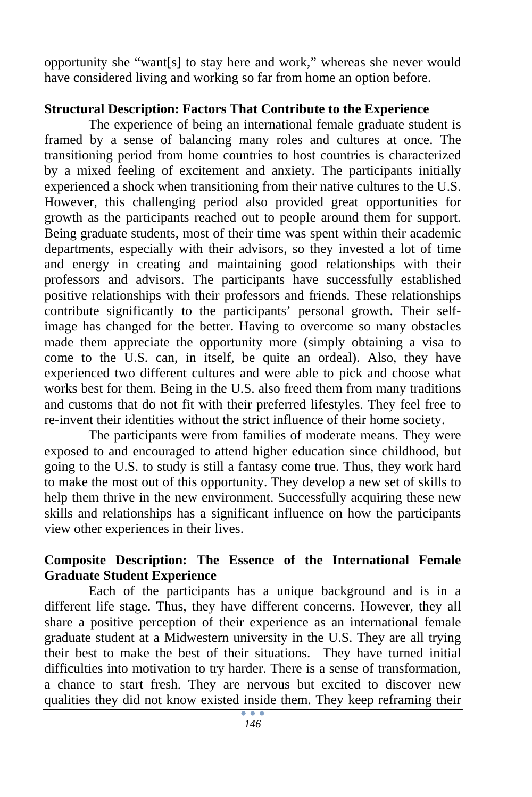opportunity she "want[s] to stay here and work," whereas she never would have considered living and working so far from home an option before.

### **Structural Description: Factors That Contribute to the Experience**

The experience of being an international female graduate student is framed by a sense of balancing many roles and cultures at once. The transitioning period from home countries to host countries is characterized by a mixed feeling of excitement and anxiety. The participants initially experienced a shock when transitioning from their native cultures to the U.S. However, this challenging period also provided great opportunities for growth as the participants reached out to people around them for support. Being graduate students, most of their time was spent within their academic departments, especially with their advisors, so they invested a lot of time and energy in creating and maintaining good relationships with their professors and advisors. The participants have successfully established positive relationships with their professors and friends. These relationships contribute significantly to the participants' personal growth. Their selfimage has changed for the better. Having to overcome so many obstacles made them appreciate the opportunity more (simply obtaining a visa to come to the U.S. can, in itself, be quite an ordeal). Also, they have experienced two different cultures and were able to pick and choose what works best for them. Being in the U.S. also freed them from many traditions and customs that do not fit with their preferred lifestyles. They feel free to re-invent their identities without the strict influence of their home society.

The participants were from families of moderate means. They were exposed to and encouraged to attend higher education since childhood, but going to the U.S. to study is still a fantasy come true. Thus, they work hard to make the most out of this opportunity. They develop a new set of skills to help them thrive in the new environment. Successfully acquiring these new skills and relationships has a significant influence on how the participants view other experiences in their lives.

# **Composite Description: The Essence of the International Female Graduate Student Experience**

Each of the participants has a unique background and is in a different life stage. Thus, they have different concerns. However, they all share a positive perception of their experience as an international female graduate student at a Midwestern university in the U.S. They are all trying their best to make the best of their situations. They have turned initial difficulties into motivation to try harder. There is a sense of transformation, a chance to start fresh. They are nervous but excited to discover new qualities they did not know existed inside them. They keep reframing their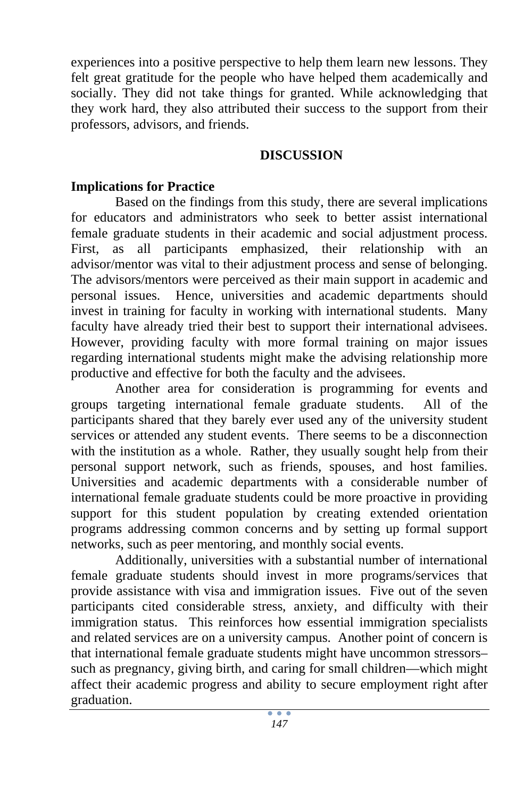experiences into a positive perspective to help them learn new lessons. They felt great gratitude for the people who have helped them academically and socially. They did not take things for granted. While acknowledging that they work hard, they also attributed their success to the support from their professors, advisors, and friends.

### **DISCUSSION**

### **Implications for Practice**

Based on the findings from this study, there are several implications for educators and administrators who seek to better assist international female graduate students in their academic and social adjustment process. First, as all participants emphasized, their relationship with an advisor/mentor was vital to their adjustment process and sense of belonging. The advisors/mentors were perceived as their main support in academic and personal issues. Hence, universities and academic departments should invest in training for faculty in working with international students. Many faculty have already tried their best to support their international advisees. However, providing faculty with more formal training on major issues regarding international students might make the advising relationship more productive and effective for both the faculty and the advisees.

Another area for consideration is programming for events and groups targeting international female graduate students. All of the participants shared that they barely ever used any of the university student services or attended any student events. There seems to be a disconnection with the institution as a whole. Rather, they usually sought help from their personal support network, such as friends, spouses, and host families. Universities and academic departments with a considerable number of international female graduate students could be more proactive in providing support for this student population by creating extended orientation programs addressing common concerns and by setting up formal support networks, such as peer mentoring, and monthly social events.

Additionally, universities with a substantial number of international female graduate students should invest in more programs/services that provide assistance with visa and immigration issues. Five out of the seven participants cited considerable stress, anxiety, and difficulty with their immigration status. This reinforces how essential immigration specialists and related services are on a university campus. Another point of concern is that international female graduate students might have uncommon stressors– such as pregnancy, giving birth, and caring for small children—which might affect their academic progress and ability to secure employment right after graduation.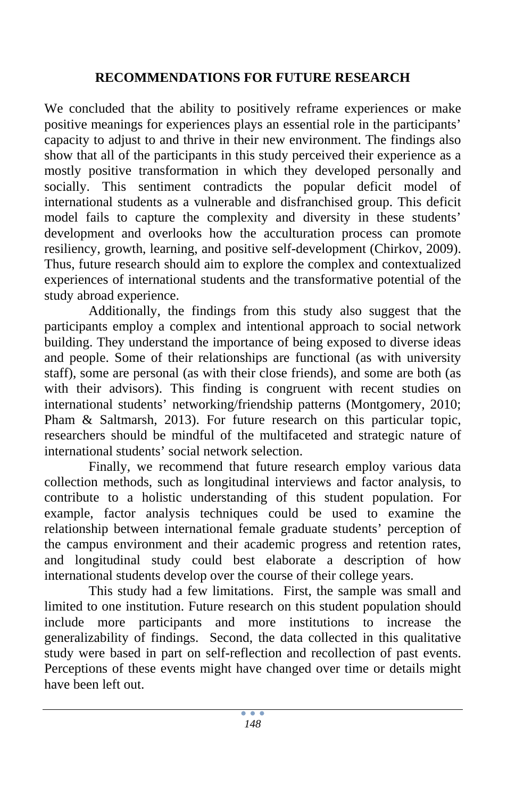# **RECOMMENDATIONS FOR FUTURE RESEARCH**

We concluded that the ability to positively reframe experiences or make positive meanings for experiences plays an essential role in the participants' capacity to adjust to and thrive in their new environment. The findings also show that all of the participants in this study perceived their experience as a mostly positive transformation in which they developed personally and socially. This sentiment contradicts the popular deficit model of international students as a vulnerable and disfranchised group. This deficit model fails to capture the complexity and diversity in these students' development and overlooks how the acculturation process can promote resiliency, growth, learning, and positive self-development (Chirkov, 2009). Thus, future research should aim to explore the complex and contextualized experiences of international students and the transformative potential of the study abroad experience.

Additionally, the findings from this study also suggest that the participants employ a complex and intentional approach to social network building. They understand the importance of being exposed to diverse ideas and people. Some of their relationships are functional (as with university staff), some are personal (as with their close friends), and some are both (as with their advisors). This finding is congruent with recent studies on international students' networking/friendship patterns (Montgomery, 2010; Pham & Saltmarsh, 2013). For future research on this particular topic, researchers should be mindful of the multifaceted and strategic nature of international students' social network selection.

Finally, we recommend that future research employ various data collection methods, such as longitudinal interviews and factor analysis, to contribute to a holistic understanding of this student population. For example, factor analysis techniques could be used to examine the relationship between international female graduate students' perception of the campus environment and their academic progress and retention rates, and longitudinal study could best elaborate a description of how international students develop over the course of their college years.

This study had a few limitations. First, the sample was small and limited to one institution. Future research on this student population should include more participants and more institutions to increase the generalizability of findings. Second, the data collected in this qualitative study were based in part on self-reflection and recollection of past events. Perceptions of these events might have changed over time or details might have been left out.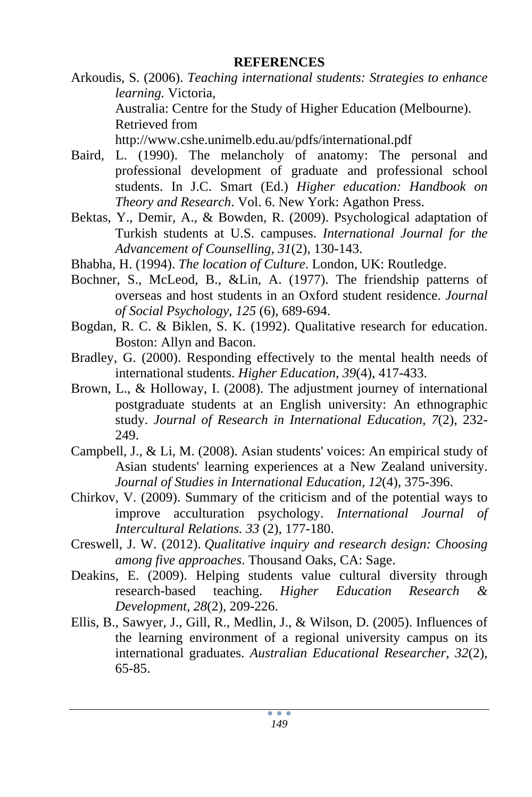### **REFERENCES**

- Arkoudis, S. (2006). *Teaching international students: Strategies to enhance learning.* Victoria, Australia: Centre for the Study of Higher Education (Melbourne). Retrieved from http://www.cshe.unimelb.edu.au/pdfs/international.pdf
- Baird, L. (1990). The melancholy of anatomy: The personal and professional development of graduate and professional school students. In J.C. Smart (Ed.) *Higher education: Handbook on Theory and Research*. Vol. 6. New York: Agathon Press.
- Bektas, Y., Demir, A., & Bowden, R. (2009). Psychological adaptation of Turkish students at U.S. campuses. *International Journal for the Advancement of Counselling, 31*(2), 130-143.
- Bhabha, H. (1994). *The location of Culture*. London, UK: Routledge.
- Bochner, S., McLeod, B., &Lin, A. (1977). The friendship patterns of overseas and host students in an Oxford student residence. *Journal of Social Psychology, 125* (6), 689-694.
- Bogdan, R. C. & Biklen, S. K. (1992). Qualitative research for education. Boston: Allyn and Bacon.
- Bradley, G. (2000). Responding effectively to the mental health needs of international students. *Higher Education*, *39*(4), 417-433.
- Brown, L., & Holloway, I. (2008). The adjustment journey of international postgraduate students at an English university: An ethnographic study. *Journal of Research in International Education, 7*(2), 232- 249.
- Campbell, J., & Li, M. (2008). Asian students' voices: An empirical study of Asian students' learning experiences at a New Zealand university. *Journal of Studies in International Education, 12*(4), 375-396.
- Chirkov, V. (2009). Summary of the criticism and of the potential ways to improve acculturation psychology. *International Journal of Intercultural Relations. 33* (2), 177-180.
- Creswell, J. W. (2012). *Qualitative inquiry and research design: Choosing among five approaches*. Thousand Oaks, CA: Sage.
- Deakins, E. (2009). Helping students value cultural diversity through research-based teaching. *Higher Education Research & Development, 28*(2), 209-226.
- Ellis, B., Sawyer, J., Gill, R., Medlin, J., & Wilson, D. (2005). Influences of the learning environment of a regional university campus on its international graduates. *Australian Educational Researcher, 32*(2), 65-85.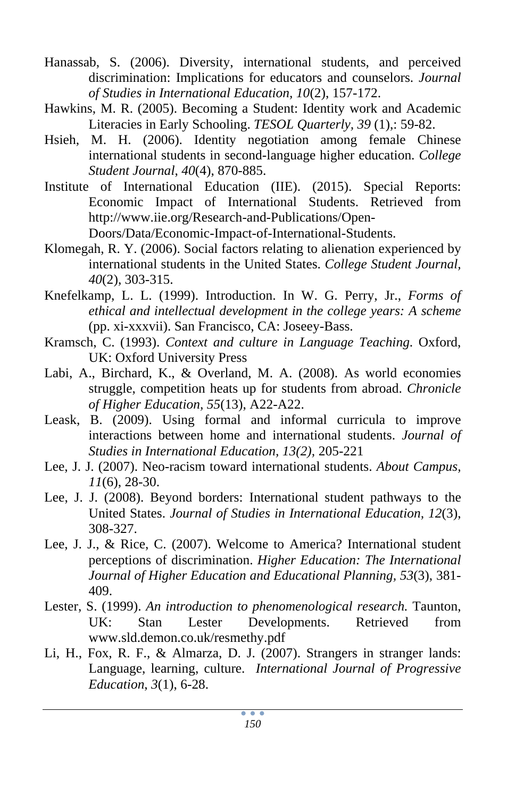- Hanassab, S. (2006). Diversity, international students, and perceived discrimination: Implications for educators and counselors. *Journal of Studies in International Education, 10*(2), 157-172.
- Hawkins, M. R. (2005). Becoming a Student: Identity work and Academic Literacies in Early Schooling. *TESOL Quarterly, 39* (1),: 59-82.
- Hsieh, M. H. (2006). Identity negotiation among female Chinese international students in second-language higher education. *College Student Journal*, *40*(4), 870-885.
- Institute of International Education (IIE). (2015). Special Reports: Economic Impact of International Students. Retrieved from http://www.iie.org/Research-and-Publications/Open-Doors/Data/Economic-Impact-of-International-Students.

Klomegah, R. Y. (2006). Social factors relating to alienation experienced by

- international students in the United States. *College Student Journal, 40*(2), 303-315.
- Knefelkamp, L. L. (1999). Introduction. In W. G. Perry, Jr., *Forms of ethical and intellectual development in the college years: A scheme* (pp. xi-xxxvii). San Francisco, CA: Joseey-Bass.
- Kramsch, C. (1993). *Context and culture in Language Teaching*. Oxford, UK: Oxford University Press
- Labi, A., Birchard, K., & Overland, M. A. (2008). As world economies struggle, competition heats up for students from abroad. *Chronicle of Higher Education, 55*(13), A22-A22.
- Leask, B. (2009). Using formal and informal curricula to improve interactions between home and international students. *Journal of Studies in International Education, 13(2),* 205-221
- Lee, J. J. (2007). Neo-racism toward international students. *About Campus, 11*(6), 28-30.
- Lee, J. J. (2008). Beyond borders: International student pathways to the United States. *Journal of Studies in International Education, 12*(3), 308-327.
- Lee, J. J., & Rice, C. (2007). Welcome to America? International student perceptions of discrimination. *Higher Education: The International Journal of Higher Education and Educational Planning, 53*(3), 381- 409.
- Lester, S. (1999). *An introduction to phenomenological research.* Taunton, UK: Stan Lester Developments. Retrieved from www.sld.demon.co.uk/resmethy.pdf
- Li, H., Fox, R. F., & Almarza, D. J. (2007). Strangers in stranger lands: Language, learning, culture. *International Journal of Progressive Education*, *3*(1), 6-28.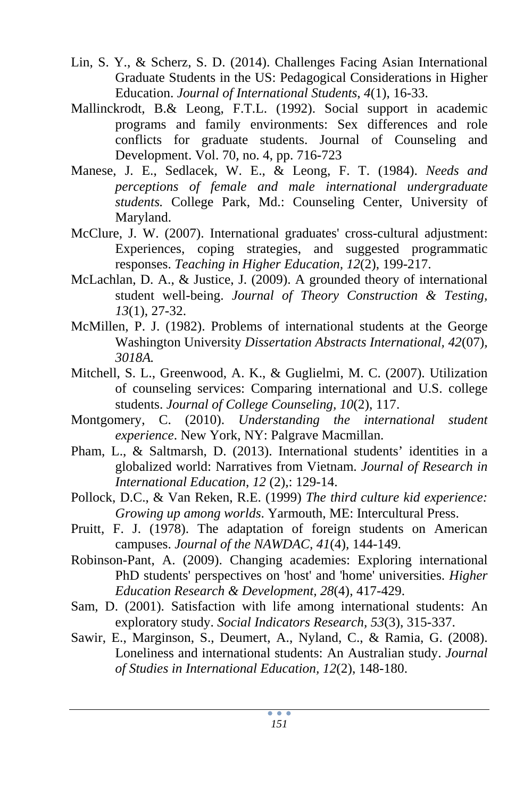- Lin, S. Y., & Scherz, S. D. (2014). Challenges Facing Asian International Graduate Students in the US: Pedagogical Considerations in Higher Education. *Journal of International Students*, *4*(1), 16-33.
- Mallinckrodt, B.& Leong, F.T.L. (1992). Social support in academic programs and family environments: Sex differences and role conflicts for graduate students. Journal of Counseling and Development. Vol. 70, no. 4, pp. 716-723
- Manese, J. E., Sedlacek, W. E., & Leong, F. T. (1984). *Needs and perceptions of female and male international undergraduate students.* College Park, Md.: Counseling Center, University of Maryland.
- McClure, J. W. (2007). International graduates' cross-cultural adjustment: Experiences, coping strategies, and suggested programmatic responses. *Teaching in Higher Education, 12*(2), 199-217.
- McLachlan, D. A., & Justice, J. (2009). A grounded theory of international student well-being. *Journal of Theory Construction & Testing, 13*(1), 27-32.
- McMillen, P. J. (1982). Problems of international students at the George Washington University *Dissertation Abstracts International, 42*(07)*, 3018A.*
- Mitchell, S. L., Greenwood, A. K., & Guglielmi, M. C. (2007). Utilization of counseling services: Comparing international and U.S. college students. *Journal of College Counseling, 10*(2), 117.
- Montgomery, C. (2010). *Understanding the international student experience*. New York, NY: Palgrave Macmillan.
- Pham, L., & Saltmarsh, D. (2013). International students' identities in a globalized world: Narratives from Vietnam. *Journal of Research in International Education*, *12* (2),: 129-14.
- Pollock, D.C., & Van Reken, R.E. (1999) *The third culture kid experience: Growing up among worlds*. Yarmouth, ME: Intercultural Press.
- Pruitt, F. J. (1978). The adaptation of foreign students on American campuses. *Journal of the NAWDAC, 41*(4)*,* 144-149.
- Robinson-Pant, A. (2009). Changing academies: Exploring international PhD students' perspectives on 'host' and 'home' universities. *Higher Education Research & Development, 28*(4), 417-429.
- Sam, D. (2001). Satisfaction with life among international students: An exploratory study. *Social Indicators Research, 53*(3), 315-337.
- Sawir, E., Marginson, S., Deumert, A., Nyland, C., & Ramia, G. (2008). Loneliness and international students: An Australian study. *Journal of Studies in International Education, 12*(2), 148-180.